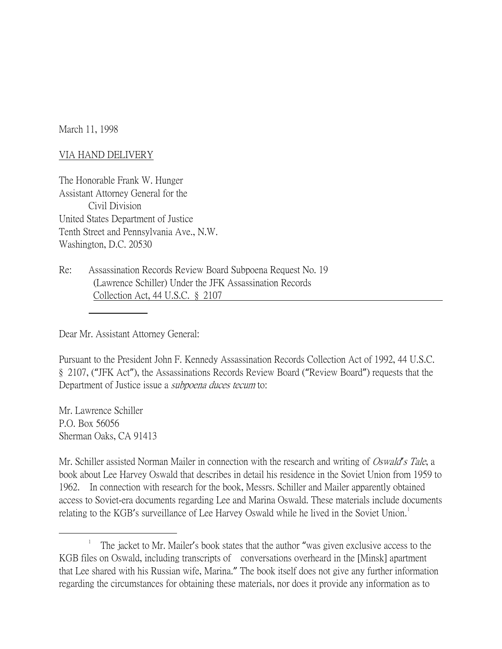March 11, 1998

#### VIA HAND DELIVERY

The Honorable Frank W. Hunger Assistant Attorney General for the Civil Division United States Department of Justice Tenth Street and Pennsylvania Ave., N.W. Washington, D.C. 20530

Re: Assassination Records Review Board Subpoena Request No. 19 (Lawrence Schiller) Under the JFK Assassination Records Collection Act, 44 U.S.C. § 2107

Dear Mr. Assistant Attorney General:

Pursuant to the President John F. Kennedy Assassination Records Collection Act of 1992, 44 U.S.C. § 2107, ("JFK Act"), the Assassinations Records Review Board ("Review Board") requests that the Department of Justice issue a subpoena duces tecum to:

Mr. Lawrence Schiller P.O. Box 56056 Sherman Oaks, CA 91413

Mr. Schiller assisted Norman Mailer in connection with the research and writing of Oswald*'*s Tale, a book about Lee Harvey Oswald that describes in detail his residence in the Soviet Union from 1959 to 1962. In connection with research for the book, Messrs. Schiller and Mailer apparently obtained access to Soviet-era documents regarding Lee and Marina Oswald. These materials include documents relating to the KGB's surveillance of Lee Harvey Oswald while he lived in the Soviet Union.<sup>[1](#page-0-0)</sup>

<span id="page-0-0"></span> $\overline{\phantom{a}}$ <sup>1</sup> The jacket to Mr. Mailer's book states that the author "was given exclusive access to the KGB files on Oswald, including transcripts of conversations overheard in the [Minsk] apartment that Lee shared with his Russian wife, Marina." The book itself does not give any further information regarding the circumstances for obtaining these materials, nor does it provide any information as to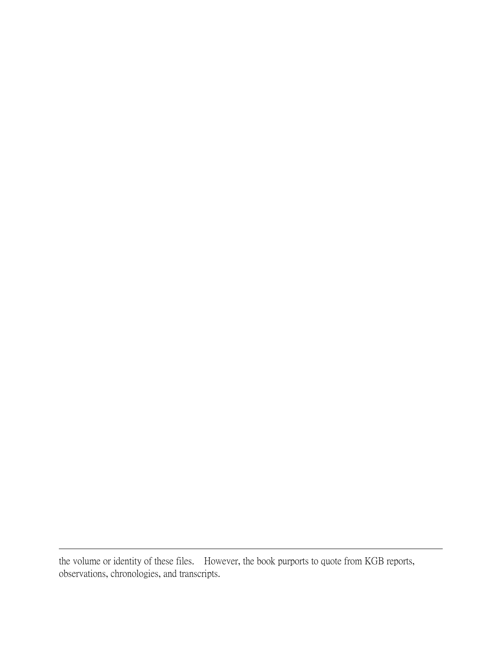the volume or identity of these files. However, the book purports to quote from KGB reports, observations, chronologies, and transcripts.

 $\overline{a}$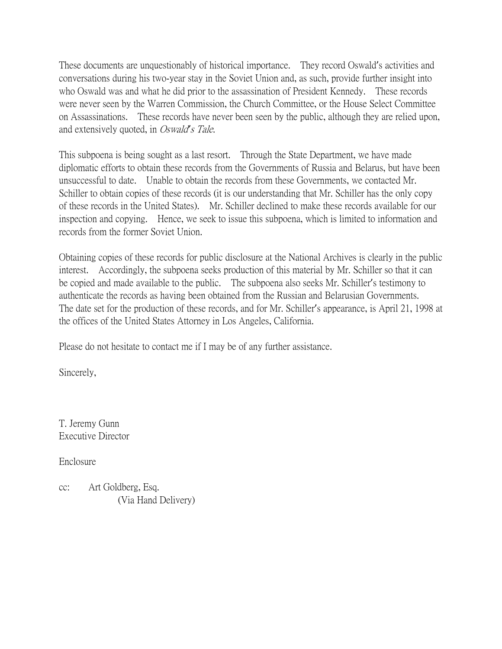These documents are unquestionably of historical importance. They record Oswald's activities and conversations during his two-year stay in the Soviet Union and, as such, provide further insight into who Oswald was and what he did prior to the assassination of President Kennedy. These records were never seen by the Warren Commission, the Church Committee, or the House Select Committee on Assassinations. These records have never been seen by the public, although they are relied upon, and extensively quoted, in Oswald*'*s Tale.

This subpoena is being sought as a last resort. Through the State Department, we have made diplomatic efforts to obtain these records from the Governments of Russia and Belarus, but have been unsuccessful to date. Unable to obtain the records from these Governments, we contacted Mr. Schiller to obtain copies of these records (it is our understanding that Mr. Schiller has the only copy of these records in the United States). Mr. Schiller declined to make these records available for our inspection and copying. Hence, we seek to issue this subpoena, which is limited to information and records from the former Soviet Union.

Obtaining copies of these records for public disclosure at the National Archives is clearly in the public interest. Accordingly, the subpoena seeks production of this material by Mr. Schiller so that it can be copied and made available to the public. The subpoena also seeks Mr. Schiller's testimony to authenticate the records as having been obtained from the Russian and Belarusian Governments. The date set for the production of these records, and for Mr. Schiller's appearance, is April 21, 1998 at the offices of the United States Attorney in Los Angeles, California.

Please do not hesitate to contact me if I may be of any further assistance.

Sincerely,

T. Jeremy Gunn Executive Director

Enclosure

cc: Art Goldberg, Esq. (Via Hand Delivery)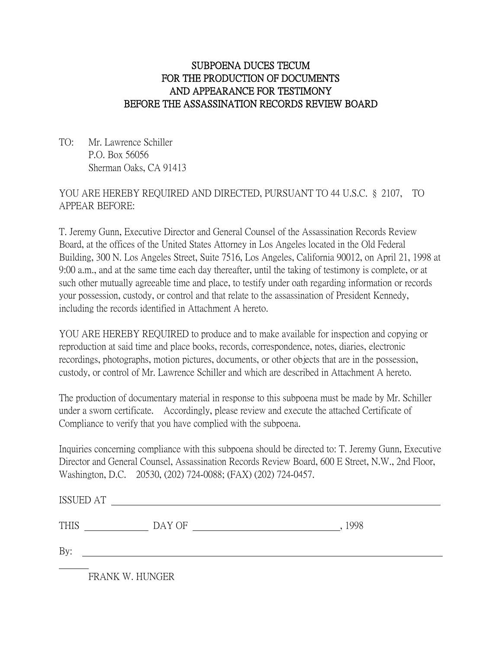## SUBPOENA DUCES TECUM FOR THE PRODUCTION OF DOCUMENTS AND APPEARANCE FOR TESTIMONY BEFORE THE ASSASSINATION RECORDS REVIEW BOARD

TO: Mr. Lawrence Schiller P.O. Box 56056 Sherman Oaks, CA 91413

## YOU ARE HEREBY REQUIRED AND DIRECTED, PURSUANT TO 44 U.S.C. § 2107, TO APPEAR BEFORE:

T. Jeremy Gunn, Executive Director and General Counsel of the Assassination Records Review Board, at the offices of the United States Attorney in Los Angeles located in the Old Federal Building, 300 N. Los Angeles Street, Suite 7516, Los Angeles, California 90012, on April 21, 1998 at 9:00 a.m., and at the same time each day thereafter, until the taking of testimony is complete, or at such other mutually agreeable time and place, to testify under oath regarding information or records your possession, custody, or control and that relate to the assassination of President Kennedy, including the records identified in Attachment A hereto.

YOU ARE HEREBY REQUIRED to produce and to make available for inspection and copying or reproduction at said time and place books, records, correspondence, notes, diaries, electronic recordings, photographs, motion pictures, documents, or other objects that are in the possession, custody, or control of Mr. Lawrence Schiller and which are described in Attachment A hereto.

The production of documentary material in response to this subpoena must be made by Mr. Schiller under a sworn certificate. Accordingly, please review and execute the attached Certificate of Compliance to verify that you have complied with the subpoena.

Inquiries concerning compliance with this subpoena should be directed to: T. Jeremy Gunn, Executive Director and General Counsel, Assassination Records Review Board, 600 E Street, N.W., 2nd Floor, Washington, D.C. 20530, (202) 724-0088; (FAX) (202) 724-0457.

| ISSUED AT   |                 |        |
|-------------|-----------------|--------|
| <b>THIS</b> | DAY OF          | , 1998 |
| By:         |                 |        |
|             | FRANK W. HUNGER |        |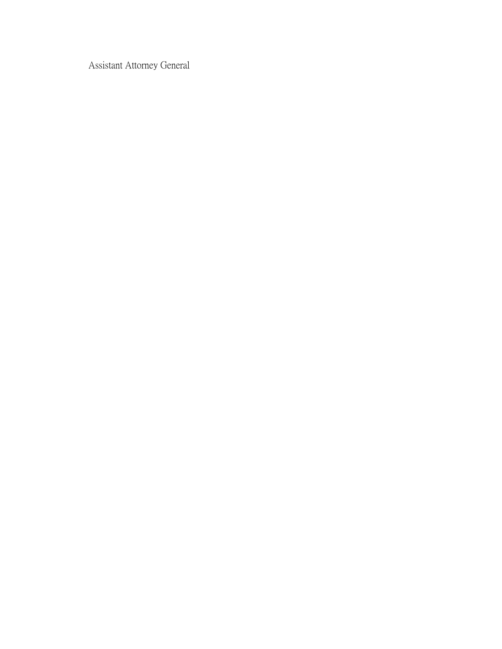Assistant Attorney General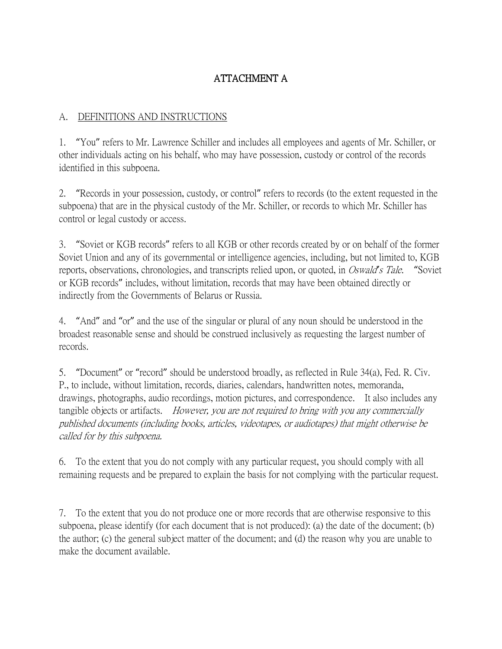# ATTACHMENT A

### A. DEFINITIONS AND INSTRUCTIONS

1. "You" refers to Mr. Lawrence Schiller and includes all employees and agents of Mr. Schiller, or other individuals acting on his behalf, who may have possession, custody or control of the records identified in this subpoena.

2. "Records in your possession, custody, or control" refers to records (to the extent requested in the subpoena) that are in the physical custody of the Mr. Schiller, or records to which Mr. Schiller has control or legal custody or access.

3. "Soviet or KGB records" refers to all KGB or other records created by or on behalf of the former Soviet Union and any of its governmental or intelligence agencies, including, but not limited to, KGB reports, observations, chronologies, and transcripts relied upon, or quoted, in Oswald*'*s Tale. "Soviet or KGB records" includes, without limitation, records that may have been obtained directly or indirectly from the Governments of Belarus or Russia.

4. "And" and "or" and the use of the singular or plural of any noun should be understood in the broadest reasonable sense and should be construed inclusively as requesting the largest number of records.

5. "Document" or "record" should be understood broadly, as reflected in Rule 34(a), Fed. R. Civ. P., to include, without limitation, records, diaries, calendars, handwritten notes, memoranda, drawings, photographs, audio recordings, motion pictures, and correspondence. It also includes any tangible objects or artifacts. However, you are not required to bring with you any commercially published documents (including books, articles, videotapes, or audiotapes) that might otherwise be called for by this subpoena.

6. To the extent that you do not comply with any particular request, you should comply with all remaining requests and be prepared to explain the basis for not complying with the particular request.

7. To the extent that you do not produce one or more records that are otherwise responsive to this subpoena, please identify (for each document that is not produced): (a) the date of the document; (b) the author; (c) the general subject matter of the document; and (d) the reason why you are unable to make the document available.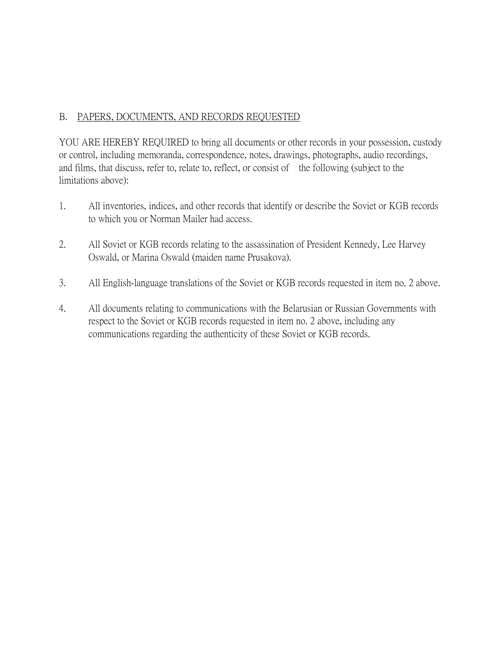## B. PAPERS, DOCUMENTS, AND RECORDS REQUESTED

YOU ARE HEREBY REQUIRED to bring all documents or other records in your possession, custody or control, including memoranda, correspondence, notes, drawings, photographs, audio recordings, and films, that discuss, refer to, relate to, reflect, or consist of the following (subject to the limitations above):

- 1. All inventories, indices, and other records that identify or describe the Soviet or KGB records to which you or Norman Mailer had access.
- 2. All Soviet or KGB records relating to the assassination of President Kennedy, Lee Harvey Oswald, or Marina Oswald (maiden name Prusakova).
- 3. All English-language translations of the Soviet or KGB records requested in item no. 2 above.
- 4. All documents relating to communications with the Belarusian or Russian Governments with respect to the Soviet or KGB records requested in item no. 2 above, including any communications regarding the authenticity of these Soviet or KGB records.